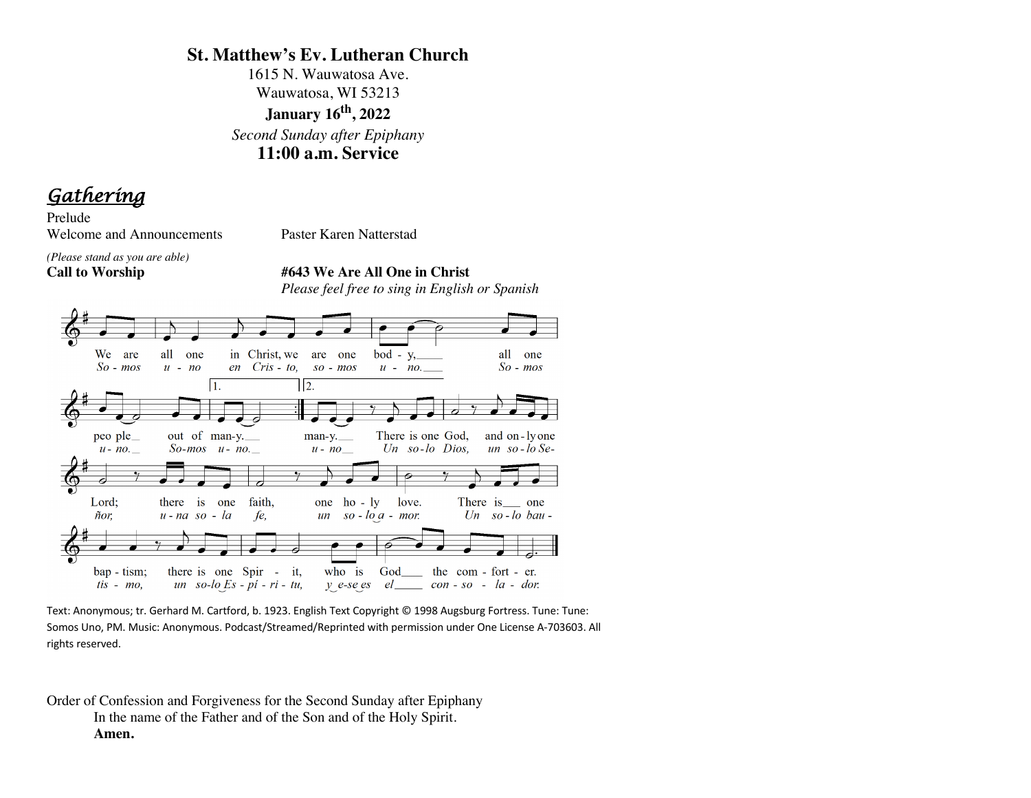# **St. Matthew's Ev. Lutheran Church**

1615 N. Wauwatosa Ave. Wauwatosa, WI 53213 **January 16th, 2022**  *Second Sunday after Epiphany* **11:00 a.m. Service**

*Gathering* 

Prelude Welcome and Announcements Paster Karen Natterstad

*(Please stand as you are able)*

**Call to Worship #643 We Are All One in Christ** *Please feel free to sing in English or Spanish*



Text: Anonymous; tr. Gerhard M. Cartford, b. 1923. English Text Copyright © 1998 Augsburg Fortress. Tune: Tune: Somos Uno, PM. Music: Anonymous. Podcast/Streamed/Reprinted with permission under One License A-703603. All rights reserved.

Order of Confession and Forgiveness for the Second Sunday after Epiphany In the name of the Father and of the Son and of the Holy Spirit. **Amen.**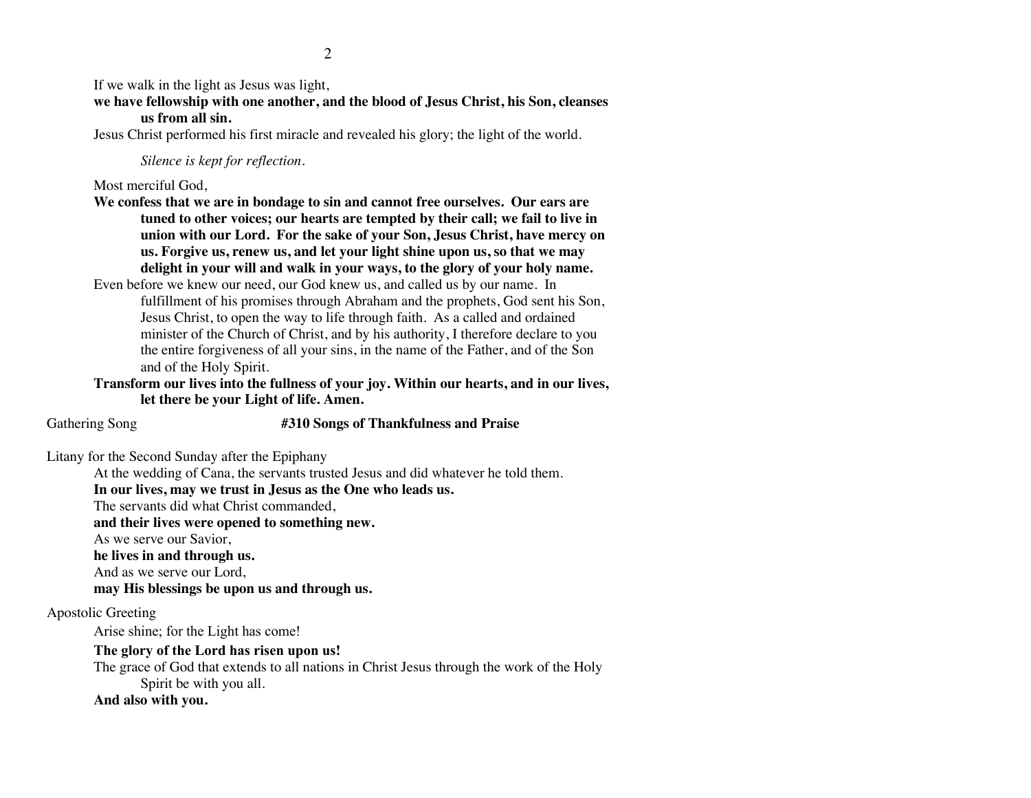If we walk in the light as Jesus was light,

**we have fellowship with one another, and the blood of Jesus Christ, his Son, cleanses us from all sin.**

Jesus Christ performed his first miracle and revealed his glory; the light of the world.

*Silence is kept for reflection.*

Most merciful God,

**We confess that we are in bondage to sin and cannot free ourselves. Our ears are tuned to other voices; our hearts are tempted by their call; we fail to live in union with our Lord. For the sake of your Son, Jesus Christ, have mercy on us. Forgive us, renew us, and let your light shine upon us, so that we may delight in your will and walk in your ways, to the glory of your holy name.**

Even before we knew our need, our God knew us, and called us by our name. In fulfillment of his promises through Abraham and the prophets, God sent his Son, Jesus Christ, to open the way to life through faith. As a called and ordained minister of the Church of Christ, and by his authority, I therefore declare to you the entire forgiveness of all your sins, in the name of the Father, and of the Son and of the Holy Spirit.

**Transform our lives into the fullness of your joy. Within our hearts, and in our lives, let there be your Light of life. Amen.**

Gathering Song **#310 Songs of Thankfulness and Praise**

Litany for the Second Sunday after the Epiphany

At the wedding of Cana, the servants trusted Jesus and did whatever he told them.

**In our lives, may we trust in Jesus as the One who leads us.**

The servants did what Christ commanded,

**and their lives were opened to something new.**

As we serve our Savior,

**he lives in and through us.**

And as we serve our Lord,

**may His blessings be upon us and through us.**

Apostolic Greeting

Arise shine; for the Light has come!

**The glory of the Lord has risen upon us!**

The grace of God that extends to all nations in Christ Jesus through the work of the Holy Spirit be with you all.

**And also with you.**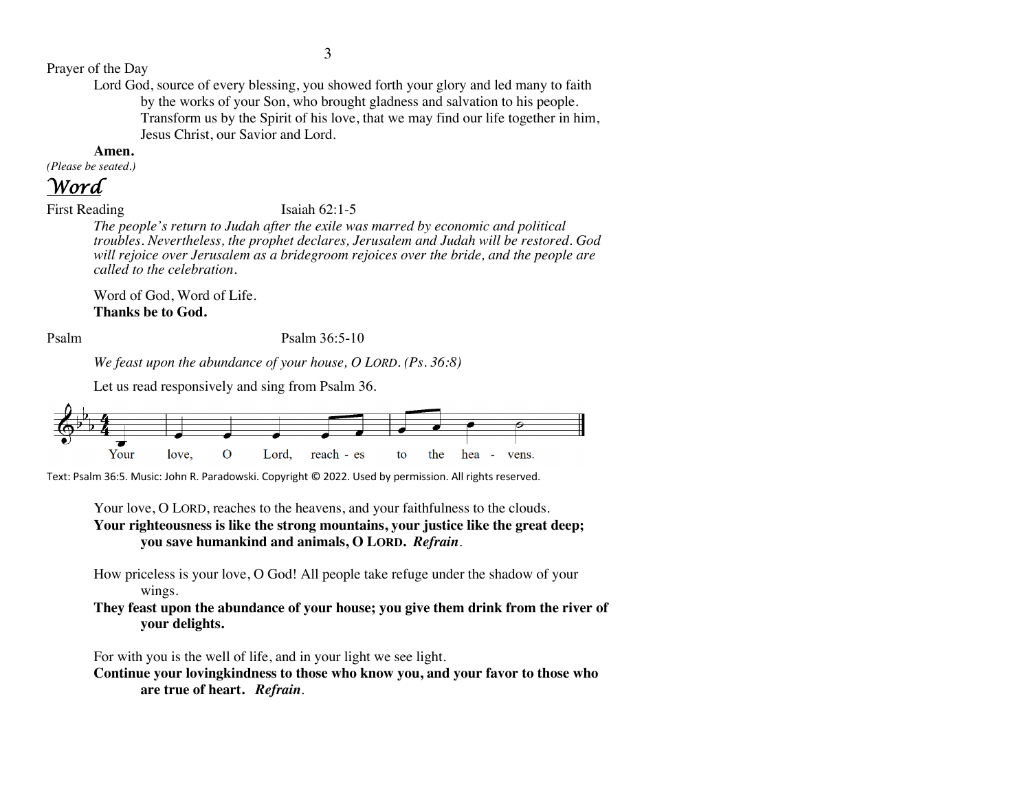Prayer of the Day

Lord God, source of every blessing, you showed forth your glory and led many to faith by the works of your Son, who brought gladness and salvation to his people. Transform us by the Spirit of his love, that we may find our life together in him, Jesus Christ, our Savior and Lord.

#### **Amen.**

*(Please be seated.)*

# *Word*

First Reading Isaiah 62:1-5

*The people's return to Judah after the exile was marred by economic and political troubles. Nevertheless, the prophet declares, Jerusalem and Judah will be restored. God will rejoice over Jerusalem as a bridegroom rejoices over the bride, and the people are called to the celebration.*

Word of God, Word of Life. **Thanks be to God.**

### Psalm Psalm 36:5-10

*We feast upon the abundance of your house, O LORD. (Ps. 36:8)*

Let us read responsively and sing from Psalm 36.



Text: Psalm 36:5. Music: John R. Paradowski. Copyright © 2022. Used by permission. All rights reserved.

Your love, O LORD, reaches to the heavens, and your faithfulness to the clouds. **Your righteousness is like the strong mountains, your justice like the great deep; you save humankind and animals, O LORD.** *Refrain*.

How priceless is your love, O God! All people take refuge under the shadow of your wings.

**They feast upon the abundance of your house; you give them drink from the river of your delights.** 

For with you is the well of life, and in your light we see light.

**Continue your lovingkindness to those who know you, and your favor to those who are true of heart.** *Refrain*.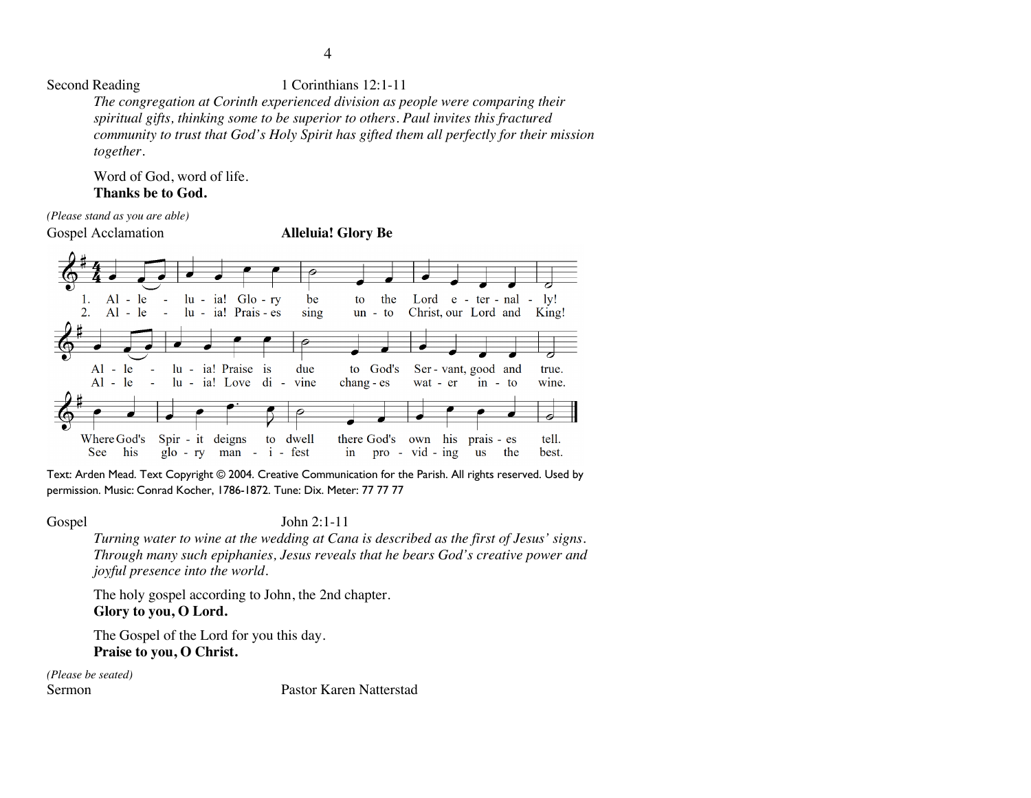Second Reading 1 Corinthians 12:1-11

*The congregation at Corinth experienced division as people were comparing their spiritual gifts, thinking some to be superior to others. Paul invites this fractured community to trust that God's Holy Spirit has gifted them all perfectly for their mission together.*

Word of God, word of life. **Thanks be to God.**

*(Please stand as you are able)*

Gospel Acclamation **Alleluia! Glory Be**



Text: Arden Mead. Text Copyright © 2004. Creative Communication for the Parish. All rights reserved. Used by permission. Music: Conrad Kocher, 1786-1872. Tune: Dix. Meter: 77 77 77

# Gospel John 2:1-11

*Turning water to wine at the wedding at Cana is described as the first of Jesus' signs. Through many such epiphanies, Jesus reveals that he bears God's creative power and joyful presence into the world.*

The holy gospel according to John, the 2nd chapter. **Glory to you, O Lord.**

The Gospel of the Lord for you this day. **Praise to you, O Christ.**

*(Please be seated)*

Sermon Pastor Karen Natterstad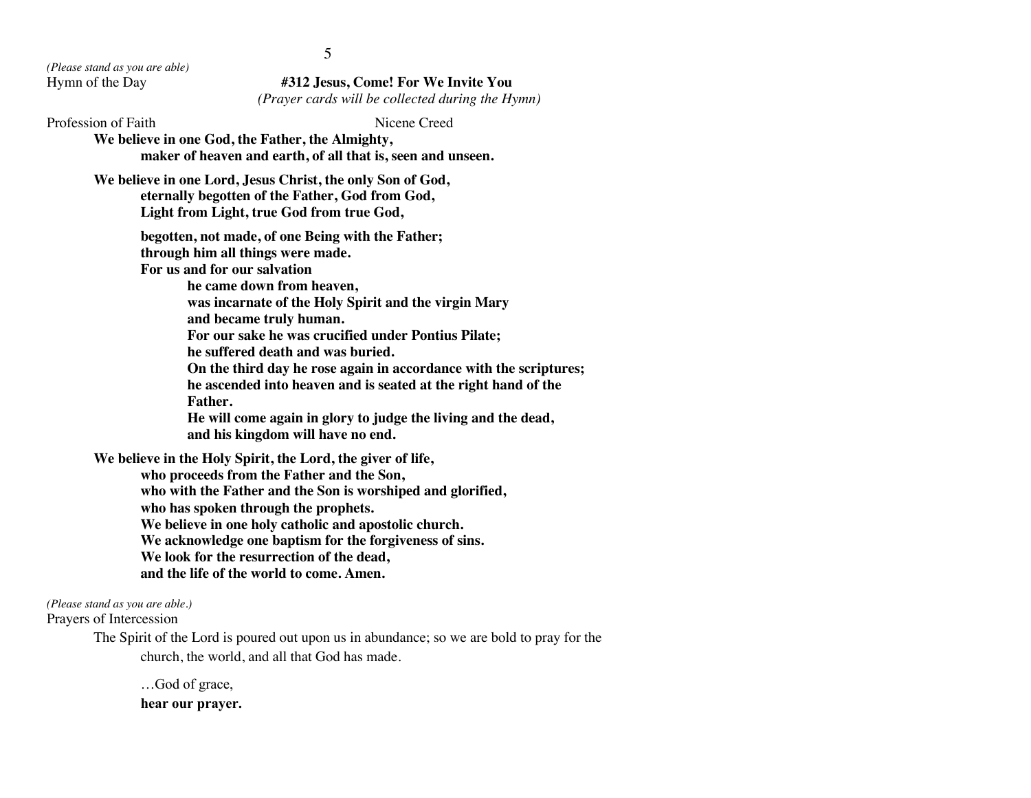*(Please stand as you are able)*

Hymn of the Day **#312 Jesus, Come! For We Invite You** *(Prayer cards will be collected during the Hymn)*

Profession of Faith Nicene Creed **We believe in one God, the Father, the Almighty, maker of heaven and earth, of all that is, seen and unseen. We believe in one Lord, Jesus Christ, the only Son of God, eternally begotten of the Father, God from God, Light from Light, true God from true God, begotten, not made, of one Being with the Father; through him all things were made. For us and for our salvation he came down from heaven, was incarnate of the Holy Spirit and the virgin Mary and became truly human. For our sake he was crucified under Pontius Pilate; he suffered death and was buried. On the third day he rose again in accordance with the scriptures; he ascended into heaven and is seated at the right hand of the Father. He will come again in glory to judge the living and the dead, and his kingdom will have no end. We believe in the Holy Spirit, the Lord, the giver of life, who proceeds from the Father and the Son, who with the Father and the Son is worshiped and glorified, who has spoken through the prophets. We believe in one holy catholic and apostolic church. We acknowledge one baptism for the forgiveness of sins. We look for the resurrection of the dead, and the life of the world to come. Amen.**

*(Please stand as you are able.)*

Prayers of Intercession

The Spirit of the Lord is poured out upon us in abundance; so we are bold to pray for the church, the world, and all that God has made.

…God of grace, **hear our prayer.** 5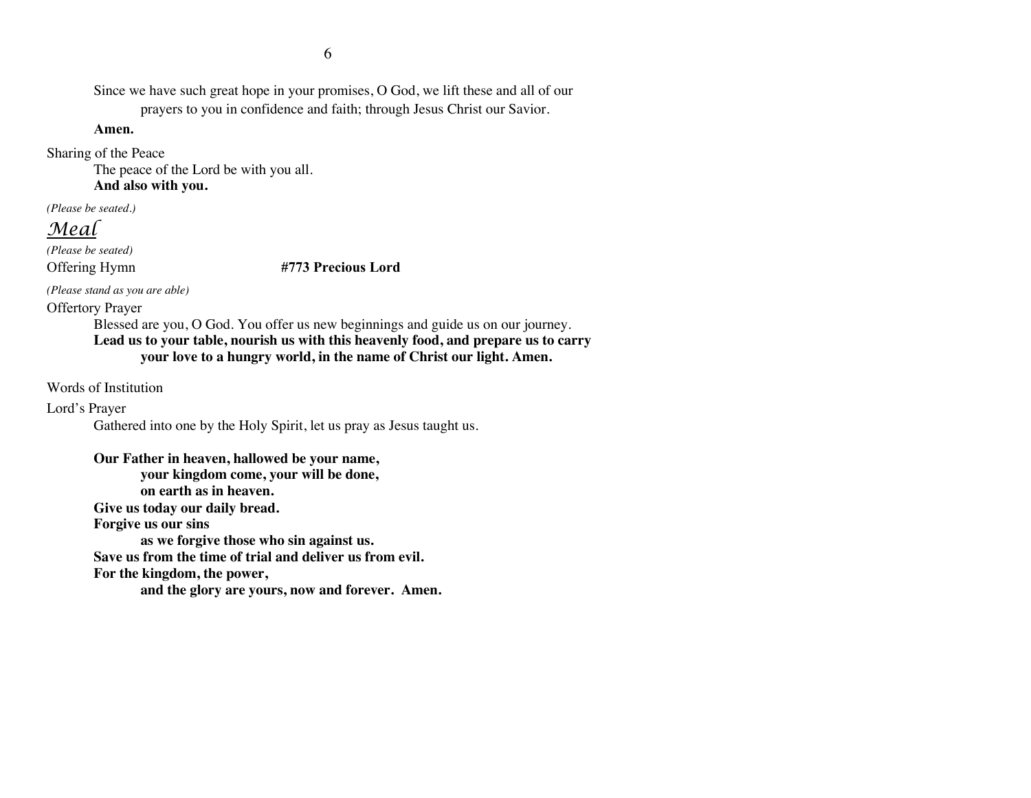Since we have such great hope in your promises, O God, we lift these and all of our prayers to you in confidence and faith; through Jesus Christ our Savior.

**Amen.**

Sharing of the Peace

The peace of the Lord be with you all.

**And also with you.**

*(Please be seated.)*

*Meal*

*(Please be seated)*

Offering Hymn **#773 Precious Lord**

*(Please stand as you are able)*

Offertory Prayer

Blessed are you, O God. You offer us new beginnings and guide us on our journey. **Lead us to your table, nourish us with this heavenly food, and prepare us to carry your love to a hungry world, in the name of Christ our light. Amen.**

Words of Institution

Lord's Prayer

Gathered into one by the Holy Spirit, let us pray as Jesus taught us.

**Our Father in heaven, hallowed be your name, your kingdom come, your will be done, on earth as in heaven. Give us today our daily bread. Forgive us our sins as we forgive those who sin against us. Save us from the time of trial and deliver us from evil. For the kingdom, the power, and the glory are yours, now and forever. Amen.**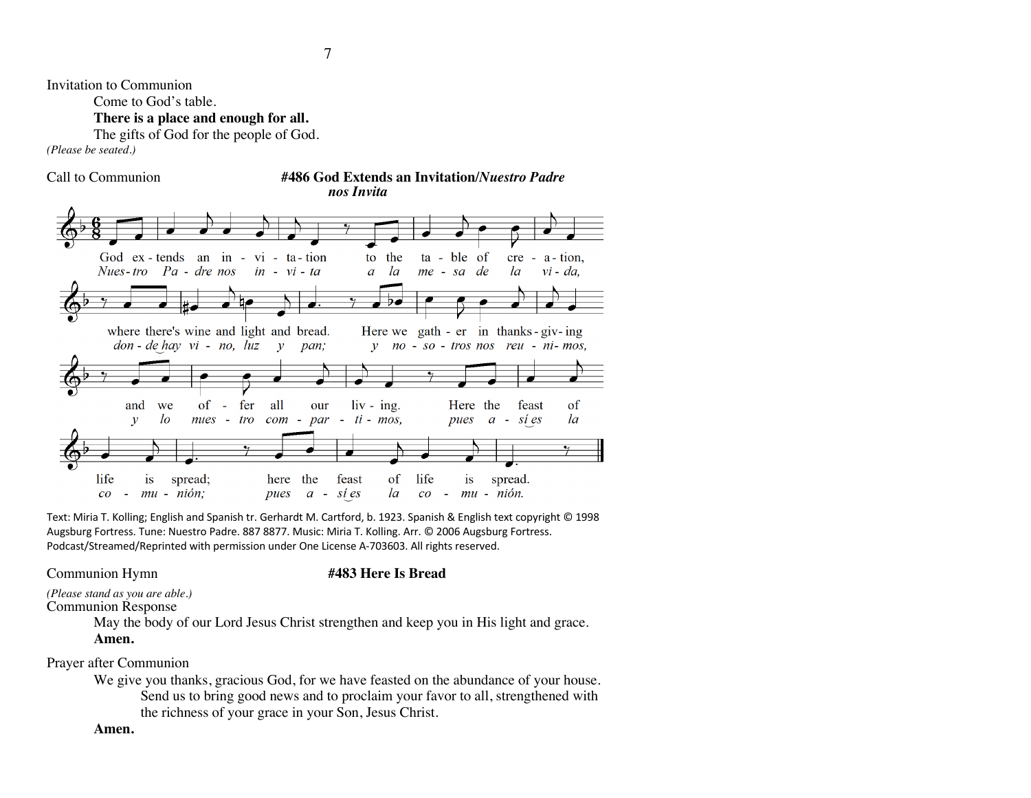Invitation to Communion

Come to God's table.

**There is a place and enough for all.**

The gifts of God for the people of God.

*(Please be seated.)*

Call to Communion **#486 God Extends an Invitation/***Nuestro Padre nos Invita*



Text: Miria T. Kolling; English and Spanish tr. Gerhardt M. Cartford, b. 1923. Spanish & English text copyright © 1998 Augsburg Fortress. Tune: Nuestro Padre. 887 8877. Music: Miria T. Kolling. Arr. © 2006 Augsburg Fortress. Podcast/Streamed/Reprinted with permission under One License A-703603. All rights reserved.

# Communion Hymn **#483 Here Is Bread**

*(Please stand as you are able.)* Communion Response

> May the body of our Lord Jesus Christ strengthen and keep you in His light and grace. **Amen.**

Prayer after Communion

We give you thanks, gracious God, for we have feasted on the abundance of your house. Send us to bring good news and to proclaim your favor to all, strengthened with the richness of your grace in your Son, Jesus Christ.

#### **Amen.**